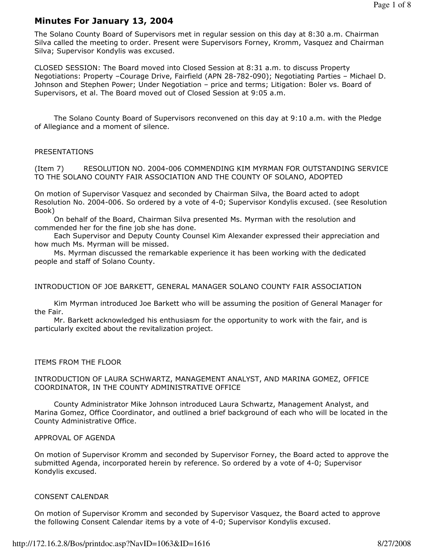# Minutes For January 13, 2004

The Solano County Board of Supervisors met in regular session on this day at 8:30 a.m. Chairman Silva called the meeting to order. Present were Supervisors Forney, Kromm, Vasquez and Chairman Silva; Supervisor Kondylis was excused.

CLOSED SESSION: The Board moved into Closed Session at 8:31 a.m. to discuss Property Negotiations: Property –Courage Drive, Fairfield (APN 28-782-090); Negotiating Parties – Michael D. Johnson and Stephen Power; Under Negotiation – price and terms; Litigation: Boler vs. Board of Supervisors, et al. The Board moved out of Closed Session at 9:05 a.m.

 The Solano County Board of Supervisors reconvened on this day at 9:10 a.m. with the Pledge of Allegiance and a moment of silence.

## PRESENTATIONS

(Item 7) RESOLUTION NO. 2004-006 COMMENDING KIM MYRMAN FOR OUTSTANDING SERVICE TO THE SOLANO COUNTY FAIR ASSOCIATION AND THE COUNTY OF SOLANO, ADOPTED

On motion of Supervisor Vasquez and seconded by Chairman Silva, the Board acted to adopt Resolution No. 2004-006. So ordered by a vote of 4-0; Supervisor Kondylis excused. (see Resolution Book)

 On behalf of the Board, Chairman Silva presented Ms. Myrman with the resolution and commended her for the fine job she has done.

 Each Supervisor and Deputy County Counsel Kim Alexander expressed their appreciation and how much Ms. Myrman will be missed.

 Ms. Myrman discussed the remarkable experience it has been working with the dedicated people and staff of Solano County.

## INTRODUCTION OF JOE BARKETT, GENERAL MANAGER SOLANO COUNTY FAIR ASSOCIATION

 Kim Myrman introduced Joe Barkett who will be assuming the position of General Manager for the Fair.

 Mr. Barkett acknowledged his enthusiasm for the opportunity to work with the fair, and is particularly excited about the revitalization project.

#### ITEMS FROM THE FLOOR

#### INTRODUCTION OF LAURA SCHWARTZ, MANAGEMENT ANALYST, AND MARINA GOMEZ, OFFICE COORDINATOR, IN THE COUNTY ADMINISTRATIVE OFFICE

 County Administrator Mike Johnson introduced Laura Schwartz, Management Analyst, and Marina Gomez, Office Coordinator, and outlined a brief background of each who will be located in the County Administrative Office.

#### APPROVAL OF AGENDA

On motion of Supervisor Kromm and seconded by Supervisor Forney, the Board acted to approve the submitted Agenda, incorporated herein by reference. So ordered by a vote of 4-0; Supervisor Kondylis excused.

#### CONSENT CALENDAR

On motion of Supervisor Kromm and seconded by Supervisor Vasquez, the Board acted to approve the following Consent Calendar items by a vote of 4-0; Supervisor Kondylis excused.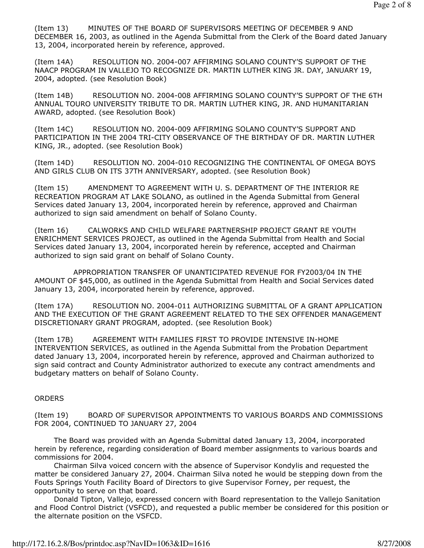(Item 13) MINUTES OF THE BOARD OF SUPERVISORS MEETING OF DECEMBER 9 AND DECEMBER 16, 2003, as outlined in the Agenda Submittal from the Clerk of the Board dated January 13, 2004, incorporated herein by reference, approved.

(Item 14A) RESOLUTION NO. 2004-007 AFFIRMING SOLANO COUNTY'S SUPPORT OF THE NAACP PROGRAM IN VALLEJO TO RECOGNIZE DR. MARTIN LUTHER KING JR. DAY, JANUARY 19, 2004, adopted. (see Resolution Book)

(Item 14B) RESOLUTION NO. 2004-008 AFFIRMING SOLANO COUNTY'S SUPPORT OF THE 6TH ANNUAL TOURO UNIVERSITY TRIBUTE TO DR. MARTIN LUTHER KING, JR. AND HUMANITARIAN AWARD, adopted. (see Resolution Book)

(Item 14C) RESOLUTION NO. 2004-009 AFFIRMING SOLANO COUNTY'S SUPPORT AND PARTICIPATION IN THE 2004 TRI-CITY OBSERVANCE OF THE BIRTHDAY OF DR. MARTIN LUTHER KING, JR., adopted. (see Resolution Book)

(Item 14D) RESOLUTION NO. 2004-010 RECOGNIZING THE CONTINENTAL OF OMEGA BOYS AND GIRLS CLUB ON ITS 37TH ANNIVERSARY, adopted. (see Resolution Book)

(Item 15) AMENDMENT TO AGREEMENT WITH U. S. DEPARTMENT OF THE INTERIOR RE RECREATION PROGRAM AT LAKE SOLANO, as outlined in the Agenda Submittal from General Services dated January 13, 2004, incorporated herein by reference, approved and Chairman authorized to sign said amendment on behalf of Solano County.

(Item 16) CALWORKS AND CHILD WELFARE PARTNERSHIP PROJECT GRANT RE YOUTH ENRICHMENT SERVICES PROJECT, as outlined in the Agenda Submittal from Health and Social Services dated January 13, 2004, incorporated herein by reference, accepted and Chairman authorized to sign said grant on behalf of Solano County.

 APPROPRIATION TRANSFER OF UNANTICIPATED REVENUE FOR FY2003/04 IN THE AMOUNT OF \$45,000, as outlined in the Agenda Submittal from Health and Social Services dated January 13, 2004, incorporated herein by reference, approved.

(Item 17A) RESOLUTION NO. 2004-011 AUTHORIZING SUBMITTAL OF A GRANT APPLICATION AND THE EXECUTION OF THE GRANT AGREEMENT RELATED TO THE SEX OFFENDER MANAGEMENT DISCRETIONARY GRANT PROGRAM, adopted. (see Resolution Book)

(Item 17B) AGREEMENT WITH FAMILIES FIRST TO PROVIDE INTENSIVE IN-HOME INTERVENTION SERVICES, as outlined in the Agenda Submittal from the Probation Department dated January 13, 2004, incorporated herein by reference, approved and Chairman authorized to sign said contract and County Administrator authorized to execute any contract amendments and budgetary matters on behalf of Solano County.

## **ORDERS**

(Item 19) BOARD OF SUPERVISOR APPOINTMENTS TO VARIOUS BOARDS AND COMMISSIONS FOR 2004, CONTINUED TO JANUARY 27, 2004

 The Board was provided with an Agenda Submittal dated January 13, 2004, incorporated herein by reference, regarding consideration of Board member assignments to various boards and commissions for 2004.

 Chairman Silva voiced concern with the absence of Supervisor Kondylis and requested the matter be considered January 27, 2004. Chairman Silva noted he would be stepping down from the Fouts Springs Youth Facility Board of Directors to give Supervisor Forney, per request, the opportunity to serve on that board.

 Donald Tipton, Vallejo, expressed concern with Board representation to the Vallejo Sanitation and Flood Control District (VSFCD), and requested a public member be considered for this position or the alternate position on the VSFCD.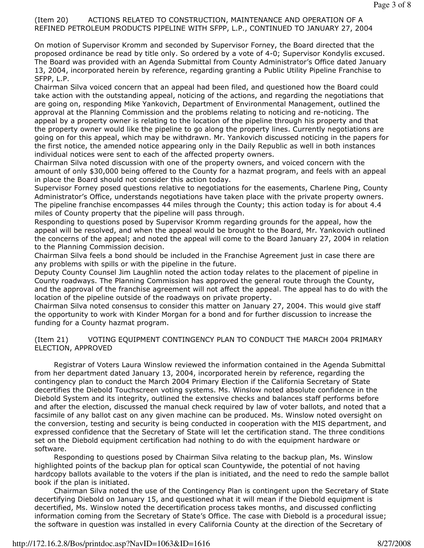# (Item 20) ACTIONS RELATED TO CONSTRUCTION, MAINTENANCE AND OPERATION OF A REFINED PETROLEUM PRODUCTS PIPELINE WITH SFPP, L.P., CONTINUED TO JANUARY 27, 2004

On motion of Supervisor Kromm and seconded by Supervisor Forney, the Board directed that the proposed ordinance be read by title only. So ordered by a vote of 4-0; Supervisor Kondylis excused. The Board was provided with an Agenda Submittal from County Administrator's Office dated January 13, 2004, incorporated herein by reference, regarding granting a Public Utility Pipeline Franchise to SFPP, L.P.

Chairman Silva voiced concern that an appeal had been filed, and questioned how the Board could take action with the outstanding appeal, noticing of the actions, and regarding the negotiations that are going on, responding Mike Yankovich, Department of Environmental Management, outlined the approval at the Planning Commission and the problems relating to noticing and re-noticing. The appeal by a property owner is relating to the location of the pipeline through his property and that the property owner would like the pipeline to go along the property lines. Currently negotiations are going on for this appeal, which may be withdrawn. Mr. Yankovich discussed noticing in the papers for the first notice, the amended notice appearing only in the Daily Republic as well in both instances individual notices were sent to each of the affected property owners.

Chairman Silva noted discussion with one of the property owners, and voiced concern with the amount of only \$30,000 being offered to the County for a hazmat program, and feels with an appeal in place the Board should not consider this action today.

Supervisor Forney posed questions relative to negotiations for the easements, Charlene Ping, County Administrator's Office, understands negotiations have taken place with the private property owners. The pipeline franchise encompasses 44 miles through the County; this action today is for about 4.4 miles of County property that the pipeline will pass through.

Responding to questions posed by Supervisor Kromm regarding grounds for the appeal, how the appeal will be resolved, and when the appeal would be brought to the Board, Mr. Yankovich outlined the concerns of the appeal; and noted the appeal will come to the Board January 27, 2004 in relation to the Planning Commission decision.

Chairman Silva feels a bond should be included in the Franchise Agreement just in case there are any problems with spills or with the pipeline in the future.

Deputy County Counsel Jim Laughlin noted the action today relates to the placement of pipeline in County roadways. The Planning Commission has approved the general route through the County, and the approval of the franchise agreement will not affect the appeal. The appeal has to do with the location of the pipeline outside of the roadways on private property.

Chairman Silva noted consensus to consider this matter on January 27, 2004. This would give staff the opportunity to work with Kinder Morgan for a bond and for further discussion to increase the funding for a County hazmat program.

(Item 21) VOTING EQUIPMENT CONTINGENCY PLAN TO CONDUCT THE MARCH 2004 PRIMARY ELECTION, APPROVED

 Registrar of Voters Laura Winslow reviewed the information contained in the Agenda Submittal from her department dated January 13, 2004, incorporated herein by reference, regarding the contingency plan to conduct the March 2004 Primary Election if the California Secretary of State decertifies the Diebold Touchscreen voting systems. Ms. Winslow noted absolute confidence in the Diebold System and its integrity, outlined the extensive checks and balances staff performs before and after the election, discussed the manual check required by law of voter ballots, and noted that a facsimile of any ballot cast on any given machine can be produced. Ms. Winslow noted oversight on the conversion, testing and security is being conducted in cooperation with the MIS department, and expressed confidence that the Secretary of State will let the certification stand. The three conditions set on the Diebold equipment certification had nothing to do with the equipment hardware or software.

 Responding to questions posed by Chairman Silva relating to the backup plan, Ms. Winslow highlighted points of the backup plan for optical scan Countywide, the potential of not having hardcopy ballots available to the voters if the plan is initiated, and the need to redo the sample ballot book if the plan is initiated.

 Chairman Silva noted the use of the Contingency Plan is contingent upon the Secretary of State decertifying Diebold on January 15, and questioned what it will mean if the Diebold equipment is decertified, Ms. Winslow noted the decertification process takes months, and discussed conflicting information coming from the Secretary of State's Office. The case with Diebold is a procedural issue; the software in question was installed in every California County at the direction of the Secretary of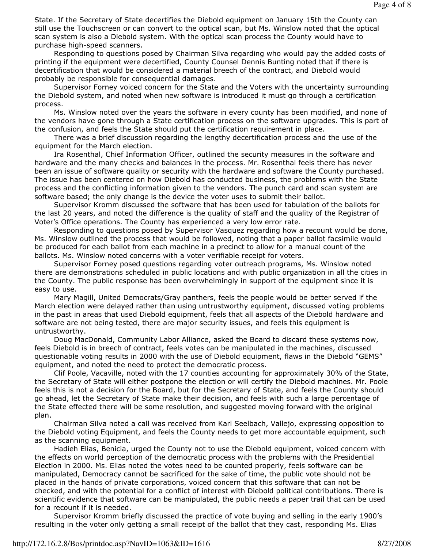State. If the Secretary of State decertifies the Diebold equipment on January 15th the County can still use the Touchscreen or can convert to the optical scan, but Ms. Winslow noted that the optical scan system is also a Diebold system. With the optical scan process the County would have to purchase high-speed scanners.

 Responding to questions posed by Chairman Silva regarding who would pay the added costs of printing if the equipment were decertified, County Counsel Dennis Bunting noted that if there is decertification that would be considered a material breech of the contract, and Diebold would probably be responsible for consequential damages.

 Supervisor Forney voiced concern for the State and the Voters with the uncertainty surrounding the Diebold system, and noted when new software is introduced it must go through a certification process.

 Ms. Winslow noted over the years the software in every county has been modified, and none of the vendors have gone through a State certification process on the software upgrades. This is part of the confusion, and feels the State should put the certification requirement in place.

 There was a brief discussion regarding the lengthy decertification process and the use of the equipment for the March election.

 Ira Rosenthal, Chief Information Officer, outlined the security measures in the software and hardware and the many checks and balances in the process. Mr. Rosenthal feels there has never been an issue of software quality or security with the hardware and software the County purchased. The issue has been centered on how Diebold has conducted business, the problems with the State process and the conflicting information given to the vendors. The punch card and scan system are software based; the only change is the device the voter uses to submit their ballot.

 Supervisor Kromm discussed the software that has been used for tabulation of the ballots for the last 20 years, and noted the difference is the quality of staff and the quality of the Registrar of Voter's Office operations. The County has experienced a very low error rate.

 Responding to questions posed by Supervisor Vasquez regarding how a recount would be done, Ms. Winslow outlined the process that would be followed, noting that a paper ballot facsimile would be produced for each ballot from each machine in a precinct to allow for a manual count of the ballots. Ms. Winslow noted concerns with a voter verifiable receipt for voters.

 Supervisor Forney posed questions regarding voter outreach programs, Ms. Winslow noted there are demonstrations scheduled in public locations and with public organization in all the cities in the County. The public response has been overwhelmingly in support of the equipment since it is easy to use.

 Mary Magill, United Democrats/Gray panthers, feels the people would be better served if the March election were delayed rather than using untrustworthy equipment, discussed voting problems in the past in areas that used Diebold equipment, feels that all aspects of the Diebold hardware and software are not being tested, there are major security issues, and feels this equipment is untrustworthy.

 Doug MacDonald, Community Labor Alliance, asked the Board to discard these systems now, feels Diebold is in breech of contract, feels votes can be manipulated in the machines, discussed questionable voting results in 2000 with the use of Diebold equipment, flaws in the Diebold "GEMS" equipment, and noted the need to protect the democratic process.

 Clif Poole, Vacaville, noted with the 17 counties accounting for approximately 30% of the State, the Secretary of State will either postpone the election or will certify the Diebold machines. Mr. Poole feels this is not a decision for the Board, but for the Secretary of State, and feels the County should go ahead, let the Secretary of State make their decision, and feels with such a large percentage of the State effected there will be some resolution, and suggested moving forward with the original plan.

 Chairman Silva noted a call was received from Karl Seelbach, Vallejo, expressing opposition to the Diebold voting Equipment, and feels the County needs to get more accountable equipment, such as the scanning equipment.

 Hadieh Elias, Benicia, urged the County not to use the Diebold equipment, voiced concern with the effects on world perception of the democratic process with the problems with the Presidential Election in 2000. Ms. Elias noted the votes need to be counted properly, feels software can be manipulated, Democracy cannot be sacrificed for the sake of time, the public vote should not be placed in the hands of private corporations, voiced concern that this software that can not be checked, and with the potential for a conflict of interest with Diebold political contributions. There is scientific evidence that software can be manipulated, the public needs a paper trail that can be used for a recount if it is needed.

 Supervisor Kromm briefly discussed the practice of vote buying and selling in the early 1900's resulting in the voter only getting a small receipt of the ballot that they cast, responding Ms. Elias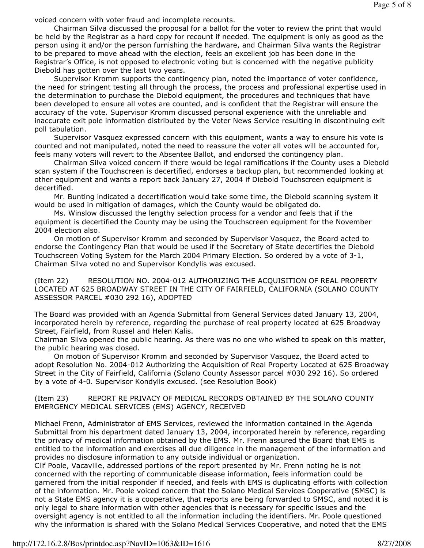voiced concern with voter fraud and incomplete recounts.

 Chairman Silva discussed the proposal for a ballot for the voter to review the print that would be held by the Registrar as a hard copy for recount if needed. The equipment is only as good as the person using it and/or the person furnishing the hardware, and Chairman Silva wants the Registrar to be prepared to move ahead with the election, feels an excellent job has been done in the Registrar's Office, is not opposed to electronic voting but is concerned with the negative publicity Diebold has gotten over the last two years.

 Supervisor Kromm supports the contingency plan, noted the importance of voter confidence, the need for stringent testing all through the process, the process and professional expertise used in the determination to purchase the Diebold equipment, the procedures and techniques that have been developed to ensure all votes are counted, and is confident that the Registrar will ensure the accuracy of the vote. Supervisor Kromm discussed personal experience with the unreliable and inaccurate exit pole information distributed by the Voter News Service resulting in discontinuing exit poll tabulation.

 Supervisor Vasquez expressed concern with this equipment, wants a way to ensure his vote is counted and not manipulated, noted the need to reassure the voter all votes will be accounted for, feels many voters will revert to the Absentee Ballot, and endorsed the contingency plan.

 Chairman Silva voiced concern if there would be legal ramifications if the County uses a Diebold scan system if the Touchscreen is decertified, endorses a backup plan, but recommended looking at other equipment and wants a report back January 27, 2004 if Diebold Touchscreen equipment is decertified.

 Mr. Bunting indicated a decertification would take some time, the Diebold scanning system it would be used in mitigation of damages, which the County would be obligated do.

 Ms. Winslow discussed the lengthy selection process for a vendor and feels that if the equipment is decertified the County may be using the Touchscreen equipment for the November 2004 election also.

 On motion of Supervisor Kromm and seconded by Supervisor Vasquez, the Board acted to endorse the Contingency Plan that would be used if the Secretary of State decertifies the Diebold Touchscreen Voting System for the March 2004 Primary Election. So ordered by a vote of 3-1, Chairman Silva voted no and Supervisor Kondylis was excused.

(Item 22) RESOLUTION NO. 2004-012 AUTHORIZING THE ACQUISITION OF REAL PROPERTY LOCATED AT 625 BROADWAY STREET IN THE CITY OF FAIRFIELD, CALIFORNIA (SOLANO COUNTY ASSESSOR PARCEL #030 292 16), ADOPTED

The Board was provided with an Agenda Submittal from General Services dated January 13, 2004, incorporated herein by reference, regarding the purchase of real property located at 625 Broadway Street, Fairfield, from Russel and Helen Kalis.

Chairman Silva opened the public hearing. As there was no one who wished to speak on this matter, the public hearing was closed.

 On motion of Supervisor Kromm and seconded by Supervisor Vasquez, the Board acted to adopt Resolution No. 2004-012 Authorizing the Acquisition of Real Property Located at 625 Broadway Street in the City of Fairfield, California (Solano County Assessor parcel #030 292 16). So ordered by a vote of 4-0. Supervisor Kondylis excused. (see Resolution Book)

(Item 23) REPORT RE PRIVACY OF MEDICAL RECORDS OBTAINED BY THE SOLANO COUNTY EMERGENCY MEDICAL SERVICES (EMS) AGENCY, RECEIVED

Michael Frenn, Administrator of EMS Services, reviewed the information contained in the Agenda Submittal from his department dated January 13, 2004, incorporated herein by reference, regarding the privacy of medical information obtained by the EMS. Mr. Frenn assured the Board that EMS is entitled to the information and exercises all due diligence in the management of the information and provides no disclosure information to any outside individual or organization.

Clif Poole, Vacaville, addressed portions of the report presented by Mr. Frenn noting he is not concerned with the reporting of communicable disease information, feels information could be garnered from the initial responder if needed, and feels with EMS is duplicating efforts with collection of the information. Mr. Poole voiced concern that the Solano Medical Services Cooperative (SMSC) is not a State EMS agency it is a cooperative, that reports are being forwarded to SMSC, and noted it is only legal to share information with other agencies that is necessary for specific issues and the oversight agency is not entitled to all the information including the identifiers. Mr. Poole questioned why the information is shared with the Solano Medical Services Cooperative, and noted that the EMS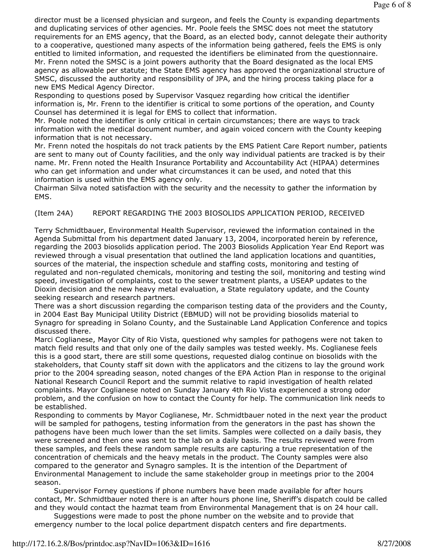director must be a licensed physician and surgeon, and feels the County is expanding departments and duplicating services of other agencies. Mr. Poole feels the SMSC does not meet the statutory requirements for an EMS agency, that the Board, as an elected body, cannot delegate their authority to a cooperative, questioned many aspects of the information being gathered, feels the EMS is only entitled to limited information, and requested the identifiers be eliminated from the questionnaire. Mr. Frenn noted the SMSC is a joint powers authority that the Board designated as the local EMS agency as allowable per statute; the State EMS agency has approved the organizational structure of SMSC, discussed the authority and responsibility of JPA, and the hiring process taking place for a new EMS Medical Agency Director.

Responding to questions posed by Supervisor Vasquez regarding how critical the identifier information is, Mr. Frenn to the identifier is critical to some portions of the operation, and County Counsel has determined it is legal for EMS to collect that information.

Mr. Poole noted the identifier is only critical in certain circumstances; there are ways to track information with the medical document number, and again voiced concern with the County keeping information that is not necessary.

Mr. Frenn noted the hospitals do not track patients by the EMS Patient Care Report number, patients are sent to many out of County facilities, and the only way individual patients are tracked is by their name. Mr. Frenn noted the Health Insurance Portability and Accountability Act (HIPAA) determines who can get information and under what circumstances it can be used, and noted that this information is used within the EMS agency only.

Chairman Silva noted satisfaction with the security and the necessity to gather the information by EMS.

## (Item 24A) REPORT REGARDING THE 2003 BIOSOLIDS APPLICATION PERIOD, RECEIVED

Terry Schmidtbauer, Environmental Health Supervisor, reviewed the information contained in the Agenda Submittal from his department dated January 13, 2004, incorporated herein by reference, regarding the 2003 biosolids application period. The 2003 Biosolids Application Year End Report was reviewed through a visual presentation that outlined the land application locations and quantities, sources of the material, the inspection schedule and staffing costs, monitoring and testing of regulated and non-regulated chemicals, monitoring and testing the soil, monitoring and testing wind speed, investigation of complaints, cost to the sewer treatment plants, a USEAP updates to the Dioxin decision and the new heavy metal evaluation, a State regulatory update, and the County seeking research and research partners.

There was a short discussion regarding the comparison testing data of the providers and the County, in 2004 East Bay Municipal Utility District (EBMUD) will not be providing biosolids material to Synagro for spreading in Solano County, and the Sustainable Land Application Conference and topics discussed there.

Marci Coglianese, Mayor City of Rio Vista, questioned why samples for pathogens were not taken to match field results and that only one of the daily samples was tested weekly. Ms. Coglianese feels this is a good start, there are still some questions, requested dialog continue on biosolids with the stakeholders, that County staff sit down with the applicators and the citizens to lay the ground work prior to the 2004 spreading season, noted changes of the EPA Action Plan in response to the original National Research Council Report and the summit relative to rapid investigation of health related complaints. Mayor Coglianese noted on Sunday January 4th Rio Vista experienced a strong odor problem, and the confusion on how to contact the County for help. The communication link needs to be established.

Responding to comments by Mayor Coglianese, Mr. Schmidtbauer noted in the next year the product will be sampled for pathogens, testing information from the generators in the past has shown the pathogens have been much lower than the set limits. Samples were collected on a daily basis, they were screened and then one was sent to the lab on a daily basis. The results reviewed were from these samples, and feels these random sample results are capturing a true representation of the concentration of chemicals and the heavy metals in the product. The County samples were also compared to the generator and Synagro samples. It is the intention of the Department of Environmental Management to include the same stakeholder group in meetings prior to the 2004 season.

 Supervisor Forney questions if phone numbers have been made available for after hours contact, Mr. Schmidtbauer noted there is an after hours phone line, Sheriff's dispatch could be called and they would contact the hazmat team from Environmental Management that is on 24 hour call.

 Suggestions were made to post the phone number on the website and to provide that emergency number to the local police department dispatch centers and fire departments.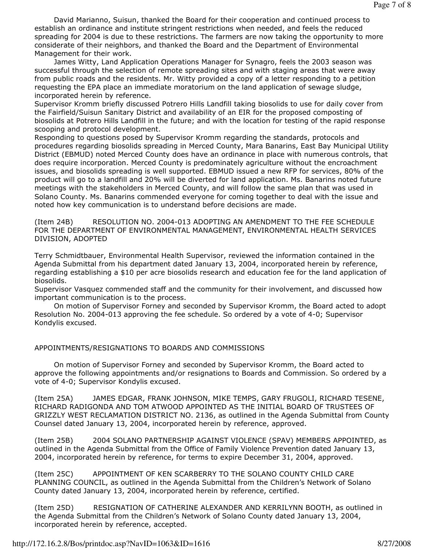David Marianno, Suisun, thanked the Board for their cooperation and continued process to establish an ordinance and institute stringent restrictions when needed, and feels the reduced spreading for 2004 is due to these restrictions. The farmers are now taking the opportunity to more considerate of their neighbors, and thanked the Board and the Department of Environmental Management for their work.

 James Witty, Land Application Operations Manager for Synagro, feels the 2003 season was successful through the selection of remote spreading sites and with staging areas that were away from public roads and the residents. Mr. Witty provided a copy of a letter responding to a petition requesting the EPA place an immediate moratorium on the land application of sewage sludge, incorporated herein by reference.

Supervisor Kromm briefly discussed Potrero Hills Landfill taking biosolids to use for daily cover from the Fairfield/Suisun Sanitary District and availability of an EIR for the proposed composting of biosolids at Potrero Hills Landfill in the future; and with the location for testing of the rapid response scooping and protocol development.

Responding to questions posed by Supervisor Kromm regarding the standards, protocols and procedures regarding biosolids spreading in Merced County, Mara Banarins, East Bay Municipal Utility District (EBMUD) noted Merced County does have an ordinance in place with numerous controls, that does require incorporation. Merced County is predominately agriculture without the encroachment issues, and biosolids spreading is well supported. EBMUD issued a new RFP for services, 80% of the product will go to a landfill and 20% will be diverted for land application. Ms. Banarins noted future meetings with the stakeholders in Merced County, and will follow the same plan that was used in Solano County. Ms. Banarins commended everyone for coming together to deal with the issue and noted how key communication is to understand before decisions are made.

(Item 24B) RESOLUTION NO. 2004-013 ADOPTING AN AMENDMENT TO THE FEE SCHEDULE FOR THE DEPARTMENT OF ENVIRONMENTAL MANAGEMENT, ENVIRONMENTAL HEALTH SERVICES DIVISION, ADOPTED

Terry Schmidtbauer, Environmental Health Supervisor, reviewed the information contained in the Agenda Submittal from his department dated January 13, 2004, incorporated herein by reference, regarding establishing a \$10 per acre biosolids research and education fee for the land application of biosolids.

Supervisor Vasquez commended staff and the community for their involvement, and discussed how important communication is to the process.

 On motion of Supervisor Forney and seconded by Supervisor Kromm, the Board acted to adopt Resolution No. 2004-013 approving the fee schedule. So ordered by a vote of 4-0; Supervisor Kondylis excused.

## APPOINTMENTS/RESIGNATIONS TO BOARDS AND COMMISSIONS

 On motion of Supervisor Forney and seconded by Supervisor Kromm, the Board acted to approve the following appointments and/or resignations to Boards and Commission. So ordered by a vote of 4-0; Supervisor Kondylis excused.

(Item 25A) JAMES EDGAR, FRANK JOHNSON, MIKE TEMPS, GARY FRUGOLI, RICHARD TESENE, RICHARD RADIGONDA AND TOM ATWOOD APPOINTED AS THE INITIAL BOARD OF TRUSTEES OF GRIZZLY WEST RECLAMATION DISTRICT NO. 2136, as outlined in the Agenda Submittal from County Counsel dated January 13, 2004, incorporated herein by reference, approved.

(Item 25B) 2004 SOLANO PARTNERSHIP AGAINST VIOLENCE (SPAV) MEMBERS APPOINTED, as outlined in the Agenda Submittal from the Office of Family Violence Prevention dated January 13, 2004, incorporated herein by reference, for terms to expire December 31, 2004, approved.

(Item 25C) APPOINTMENT OF KEN SCARBERRY TO THE SOLANO COUNTY CHILD CARE PLANNING COUNCIL, as outlined in the Agenda Submittal from the Children's Network of Solano County dated January 13, 2004, incorporated herein by reference, certified.

(Item 25D) RESIGNATION OF CATHERINE ALEXANDER AND KERRILYNN BOOTH, as outlined in the Agenda Submittal from the Children's Network of Solano County dated January 13, 2004, incorporated herein by reference, accepted.